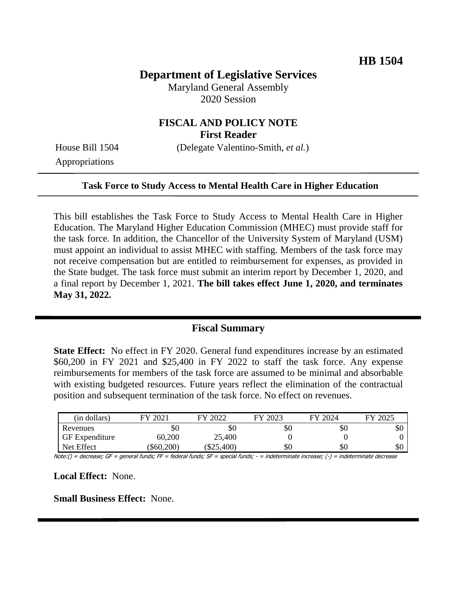# **Department of Legislative Services**

Maryland General Assembly 2020 Session

#### **FISCAL AND POLICY NOTE First Reader**

Appropriations

House Bill 1504 (Delegate Valentino-Smith, *et al.*)

#### **Task Force to Study Access to Mental Health Care in Higher Education**

This bill establishes the Task Force to Study Access to Mental Health Care in Higher Education. The Maryland Higher Education Commission (MHEC) must provide staff for the task force. In addition, the Chancellor of the University System of Maryland (USM) must appoint an individual to assist MHEC with staffing. Members of the task force may not receive compensation but are entitled to reimbursement for expenses, as provided in the State budget. The task force must submit an interim report by December 1, 2020, and a final report by December 1, 2021. **The bill takes effect June 1, 2020, and terminates May 31, 2022.**

### **Fiscal Summary**

**State Effect:** No effect in FY 2020. General fund expenditures increase by an estimated \$60,200 in FY 2021 and \$25,400 in FY 2022 to staff the task force. Any expense reimbursements for members of the task force are assumed to be minimal and absorbable with existing budgeted resources. Future years reflect the elimination of the contractual position and subsequent termination of the task force. No effect on revenues.

| (in dollars)          | FY 2021    | FY 2022  | FY 2023 | FY 2024 | FY 2025 |
|-----------------------|------------|----------|---------|---------|---------|
| Revenues              | \$0        | УU       | \$0     | \$0     | эU      |
| <b>GF</b> Expenditure | 60,200     | 25,400   |         |         |         |
| Net Effect            | (\$60,200) | \$25,400 | \$0     | \$0     | \$0     |

Note:() = decrease; GF = general funds; FF = federal funds; SF = special funds; - = indeterminate increase; (-) = indeterminate decrease

**Local Effect:** None.

**Small Business Effect:** None.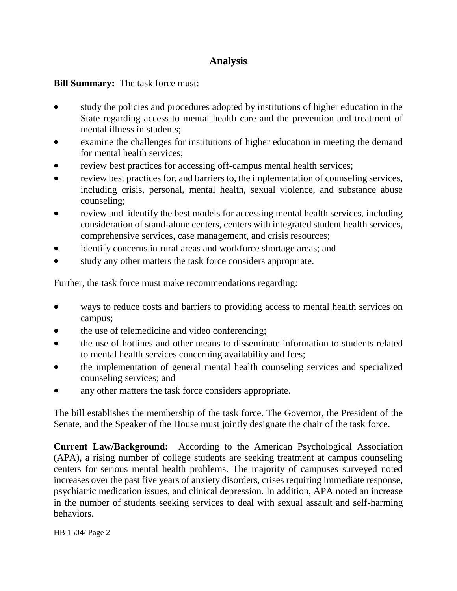# **Analysis**

**Bill Summary:** The task force must:

- study the policies and procedures adopted by institutions of higher education in the State regarding access to mental health care and the prevention and treatment of mental illness in students;
- examine the challenges for institutions of higher education in meeting the demand for mental health services;
- review best practices for accessing off-campus mental health services;
- review best practices for, and barriers to, the implementation of counseling services, including crisis, personal, mental health, sexual violence, and substance abuse counseling;
- review and identify the best models for accessing mental health services, including consideration of stand-alone centers, centers with integrated student health services, comprehensive services, case management, and crisis resources;
- identify concerns in rural areas and workforce shortage areas; and
- study any other matters the task force considers appropriate.

Further, the task force must make recommendations regarding:

- ways to reduce costs and barriers to providing access to mental health services on campus;
- the use of telemedicine and video conferencing;
- the use of hotlines and other means to disseminate information to students related to mental health services concerning availability and fees;
- the implementation of general mental health counseling services and specialized counseling services; and
- any other matters the task force considers appropriate.

The bill establishes the membership of the task force. The Governor, the President of the Senate, and the Speaker of the House must jointly designate the chair of the task force.

**Current Law/Background:** According to the American Psychological Association (APA), a rising number of college students are seeking treatment at campus counseling centers for serious mental health problems. The majority of campuses surveyed noted increases over the past five years of anxiety disorders, crises requiring immediate response, psychiatric medication issues, and clinical depression. In addition, APA noted an increase in the number of students seeking services to deal with sexual assault and self-harming behaviors.

HB 1504/ Page 2